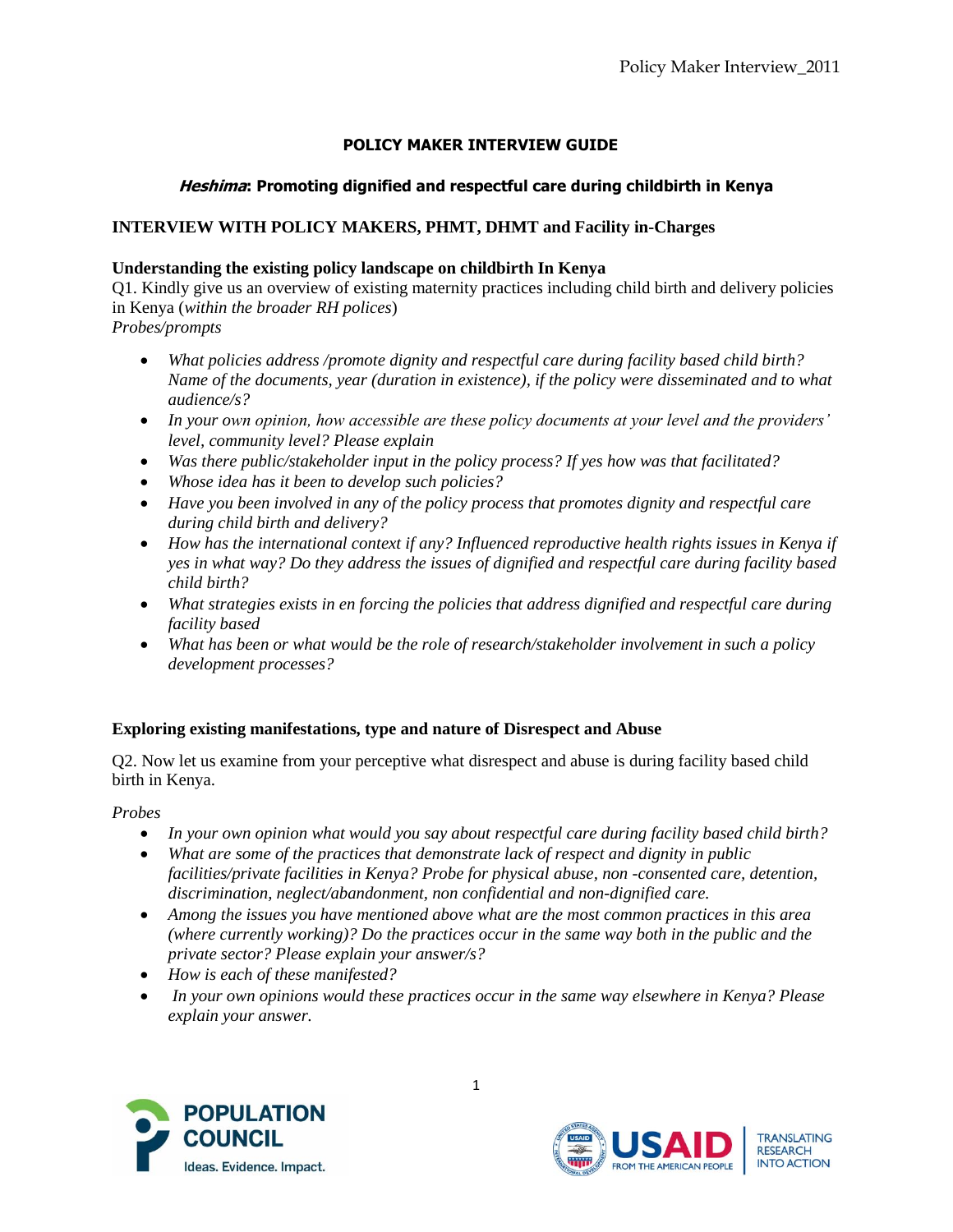# **POLICY MAKER INTERVIEW GUIDE**

# **Heshima: Promoting dignified and respectful care during childbirth in Kenya**

# **INTERVIEW WITH POLICY MAKERS, PHMT, DHMT and Facility in-Charges**

### **Understanding the existing policy landscape on childbirth In Kenya**

Q1. Kindly give us an overview of existing maternity practices including child birth and delivery policies in Kenya (*within the broader RH polices*)

- *Probes/prompts*
	- *What policies address /promote dignity and respectful care during facility based child birth? Name of the documents, year (duration in existence), if the policy were disseminated and to what audience/s?*
	- *In your own opinion, how accessible are these policy documents at your level and the providers' level, community level? Please explain*
	- *Was there public/stakeholder input in the policy process? If yes how was that facilitated?*
	- *Whose idea has it been to develop such policies?*
	- *Have you been involved in any of the policy process that promotes dignity and respectful care during child birth and delivery?*
	- *How has the international context if any? Influenced reproductive health rights issues in Kenya if yes in what way? Do they address the issues of dignified and respectful care during facility based child birth?*
	- *What strategies exists in en forcing the policies that address dignified and respectful care during facility based*
	- *What has been or what would be the role of research/stakeholder involvement in such a policy development processes?*

#### **Exploring existing manifestations, type and nature of Disrespect and Abuse**

Q2. Now let us examine from your perceptive what disrespect and abuse is during facility based child birth in Kenya.

#### *Probes*

- *In your own opinion what would you say about respectful care during facility based child birth?*
- *What are some of the practices that demonstrate lack of respect and dignity in public facilities/private facilities in Kenya? Probe for physical abuse, non -consented care, detention, discrimination, neglect/abandonment, non confidential and non-dignified care.*
- *Among the issues you have mentioned above what are the most common practices in this area (where currently working)? Do the practices occur in the same way both in the public and the private sector? Please explain your answer/s?*
- *How is each of these manifested?*
- *In your own opinions would these practices occur in the same way elsewhere in Kenya? Please explain your answer.*



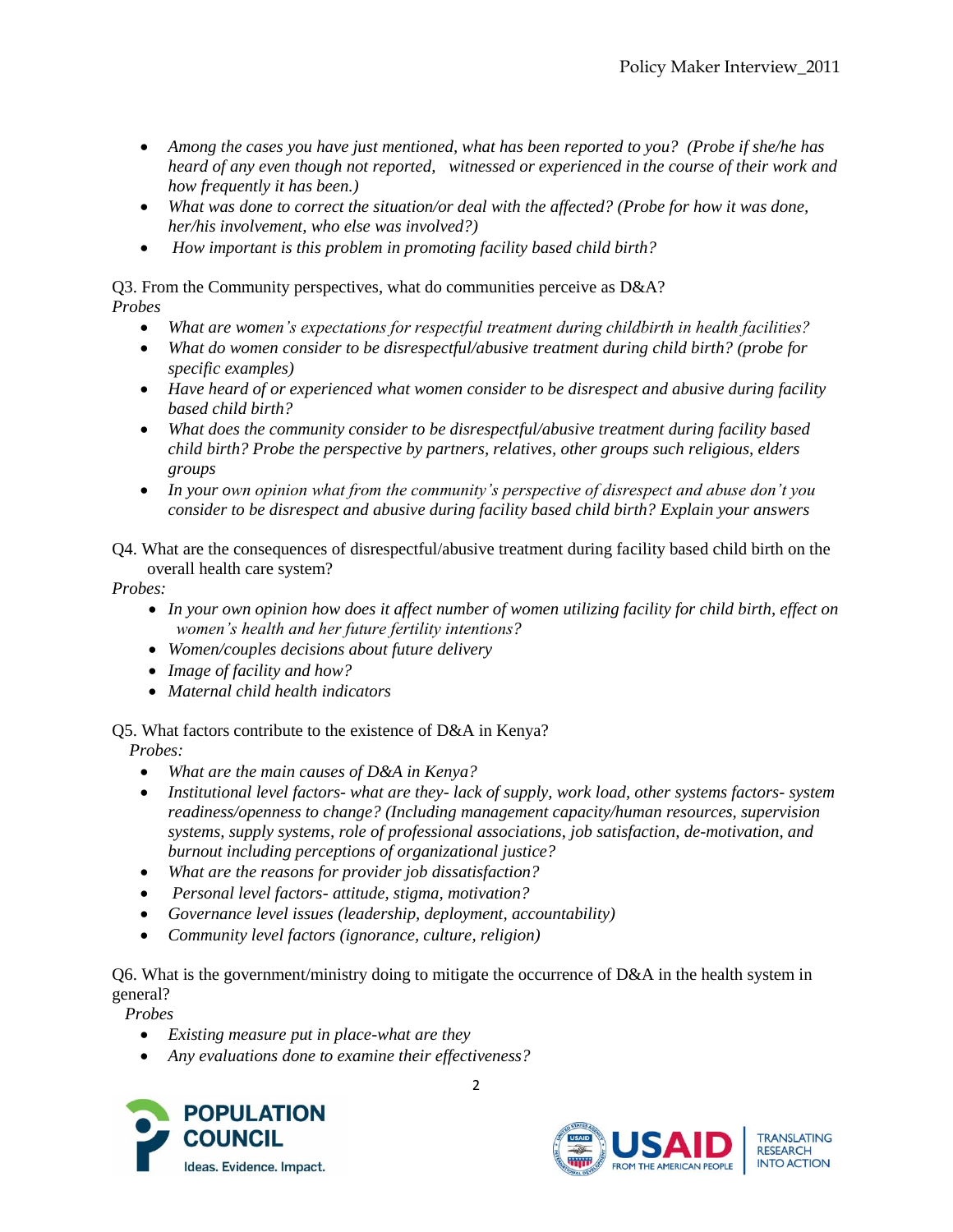- *Among the cases you have just mentioned, what has been reported to you? (Probe if she/he has heard of any even though not reported, witnessed or experienced in the course of their work and how frequently it has been.)*
- *What was done to correct the situation/or deal with the affected? (Probe for how it was done, her/his involvement, who else was involved?)*
- *How important is this problem in promoting facility based child birth?*

Q3. From the Community perspectives, what do communities perceive as D&A? *Probes* 

- *What are women's expectations for respectful treatment during childbirth in health facilities?*
- *What do women consider to be disrespectful/abusive treatment during child birth? (probe for specific examples)*
- *Have heard of or experienced what women consider to be disrespect and abusive during facility based child birth?*
- *What does the community consider to be disrespectful/abusive treatment during facility based child birth? Probe the perspective by partners, relatives, other groups such religious, elders groups*
- *In your own opinion what from the community's perspective of disrespect and abuse don't you consider to be disrespect and abusive during facility based child birth? Explain your answers*

Q4. What are the consequences of disrespectful/abusive treatment during facility based child birth on the overall health care system?

*Probes:* 

- *In your own opinion how does it affect number of women utilizing facility for child birth, effect on women's health and her future fertility intentions?*
- *Women/couples decisions about future delivery*
- *Image of facility and how?*
- *Maternal child health indicators*

# Q5. What factors contribute to the existence of D&A in Kenya?

*Probes:*

- *What are the main causes of D&A in Kenya?*
- *Institutional level factors- what are they- lack of supply, work load, other systems factors- system readiness/openness to change? (Including management capacity/human resources, supervision systems, supply systems, role of professional associations*, *job satisfaction, de-motivation, and burnout including perceptions of organizational justice?*
- *What are the reasons for provider job dissatisfaction?*
- *Personal level factors- attitude, stigma, motivation?*
- *Governance level issues (leadership, deployment, accountability)*
- *Community level factors (ignorance, culture, religion)*

Q6. What is the government/ministry doing to mitigate the occurrence of D&A in the health system in general?

*Probes* 

- *Existing measure put in place-what are they*
- *Any evaluations done to examine their effectiveness?*



2